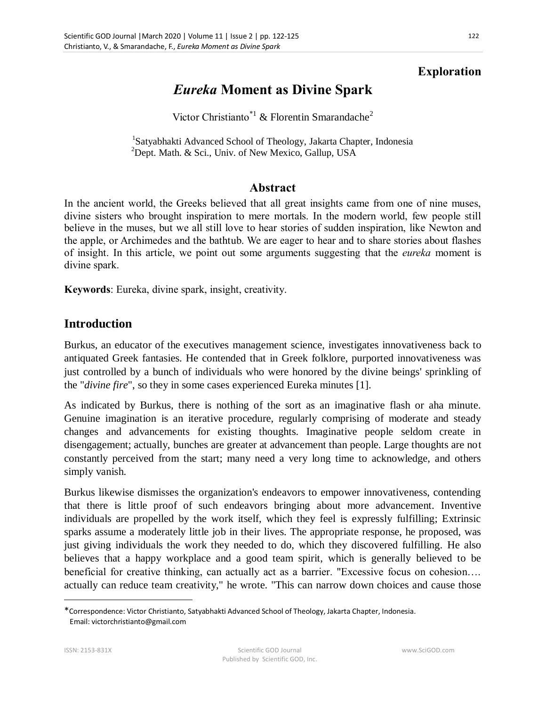#### **Exploration**

# *Eureka* **Moment as Divine Spark**

Victor Christianto<sup>\*1</sup> & Florentin Smarandache<sup>2</sup>

<sup>1</sup>Satyabhakti Advanced School of Theology, Jakarta Chapter, Indonesia <sup>2</sup>Dept. Math. & Sci., Univ. of New Mexico, Gallup, USA

#### **Abstract**

In the ancient world, the Greeks believed that all great insights came from one of nine muses, divine sisters who brought inspiration to mere mortals. In the modern world, few people still believe in the muses, but we all still love to hear stories of sudden inspiration, like Newton and the apple, or Archimedes and the bathtub. We are eager to hear and to share stories about flashes of insight. In this article, we point out some arguments suggesting that the *eureka* moment is divine spark.

**Keywords**: Eureka, divine spark, insight, creativity.

#### **Introduction**

Burkus, an educator of the executives management science, investigates innovativeness back to antiquated Greek fantasies. He contended that in Greek folklore, purported innovativeness was just controlled by a bunch of individuals who were honored by the divine beings' sprinkling of the "*divine fire*", so they in some cases experienced Eureka minutes [1].

As indicated by Burkus, there is nothing of the sort as an imaginative flash or aha minute. Genuine imagination is an iterative procedure, regularly comprising of moderate and steady changes and advancements for existing thoughts. Imaginative people seldom create in disengagement; actually, bunches are greater at advancement than people. Large thoughts are not constantly perceived from the start; many need a very long time to acknowledge, and others simply vanish.

Burkus likewise dismisses the organization's endeavors to empower innovativeness, contending that there is little proof of such endeavors bringing about more advancement. Inventive individuals are propelled by the work itself, which they feel is expressly fulfilling; Extrinsic sparks assume a moderately little job in their lives. The appropriate response, he proposed, was just giving individuals the work they needed to do, which they discovered fulfilling. He also believes that a happy workplace and a good team spirit, which is generally believed to be beneficial for creative thinking, can actually act as a barrier. "Excessive focus on cohesion…. actually can reduce team creativity," he wrote. "This can narrow down choices and cause those

 $\overline{a}$ 

<sup>\*</sup>Correspondence: Victor Christianto, Satyabhakti Advanced School of Theology, Jakarta Chapter, Indonesia. Email: victorchristianto@gmail.com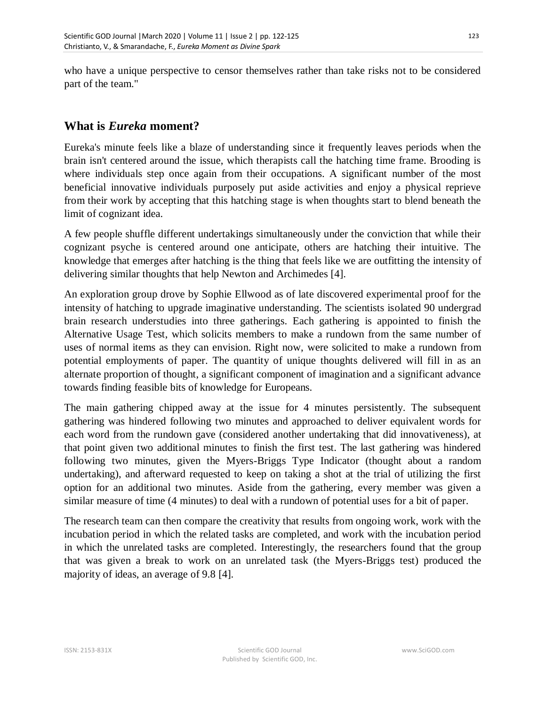who have a unique perspective to censor themselves rather than take risks not to be considered part of the team."

### **What is** *Eureka* **moment?**

Eureka's minute feels like a blaze of understanding since it frequently leaves periods when the brain isn't centered around the issue, which therapists call the hatching time frame. Brooding is where individuals step once again from their occupations. A significant number of the most beneficial innovative individuals purposely put aside activities and enjoy a physical reprieve from their work by accepting that this hatching stage is when thoughts start to blend beneath the limit of cognizant idea.

A few people shuffle different undertakings simultaneously under the conviction that while their cognizant psyche is centered around one anticipate, others are hatching their intuitive. The knowledge that emerges after hatching is the thing that feels like we are outfitting the intensity of delivering similar thoughts that help Newton and Archimedes [4].

An exploration group drove by Sophie Ellwood as of late discovered experimental proof for the intensity of hatching to upgrade imaginative understanding. The scientists isolated 90 undergrad brain research understudies into three gatherings. Each gathering is appointed to finish the Alternative Usage Test, which solicits members to make a rundown from the same number of uses of normal items as they can envision. Right now, were solicited to make a rundown from potential employments of paper. The quantity of unique thoughts delivered will fill in as an alternate proportion of thought, a significant component of imagination and a significant advance towards finding feasible bits of knowledge for Europeans.

The main gathering chipped away at the issue for 4 minutes persistently. The subsequent gathering was hindered following two minutes and approached to deliver equivalent words for each word from the rundown gave (considered another undertaking that did innovativeness), at that point given two additional minutes to finish the first test. The last gathering was hindered following two minutes, given the Myers-Briggs Type Indicator (thought about a random undertaking), and afterward requested to keep on taking a shot at the trial of utilizing the first option for an additional two minutes. Aside from the gathering, every member was given a similar measure of time (4 minutes) to deal with a rundown of potential uses for a bit of paper.

The research team can then compare the creativity that results from ongoing work, work with the incubation period in which the related tasks are completed, and work with the incubation period in which the unrelated tasks are completed. Interestingly, the researchers found that the group that was given a break to work on an unrelated task (the Myers-Briggs test) produced the majority of ideas, an average of 9.8 [4].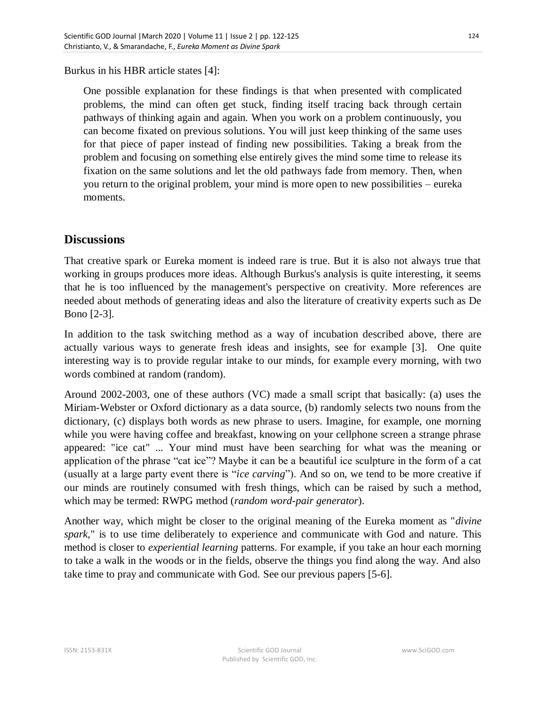Burkus in his HBR article states [4]:

One possible explanation for these findings is that when presented with complicated problems, the mind can often get stuck, finding itself tracing back through certain pathways of thinking again and again. When you work on a problem continuously, you can become fixated on previous solutions. You will just keep thinking of the same uses for that piece of paper instead of finding new possibilities. Taking a break from the problem and focusing on something else entirely gives the mind some time to release its fixation on the same solutions and let the old pathways fade from memory. Then, when you return to the original problem, your mind is more open to new possibilities – eureka moments.

#### **Discussions**

That creative spark or Eureka moment is indeed rare is true. But it is also not always true that working in groups produces more ideas. Although Burkus's analysis is quite interesting, it seems that he is too influenced by the management's perspective on creativity. More references are needed about methods of generating ideas and also the literature of creativity experts such as De Bono [2-3].

In addition to the task switching method as a way of incubation described above, there are actually various ways to generate fresh ideas and insights, see for example [3]. One quite interesting way is to provide regular intake to our minds, for example every morning, with two words combined at random (random).

Around 2002-2003, one of these authors (VC) made a small script that basically: (a) uses the Miriam-Webster or Oxford dictionary as a data source, (b) randomly selects two nouns from the dictionary, (c) displays both words as new phrase to users. Imagine, for example, one morning while you were having coffee and breakfast, knowing on your cellphone screen a strange phrase appeared: "ice cat" ... Your mind must have been searching for what was the meaning or application of the phrase "cat ice"? Maybe it can be a beautiful ice sculpture in the form of a cat (usually at a large party event there is "*ice carving*"). And so on, we tend to be more creative if our minds are routinely consumed with fresh things, which can be raised by such a method, which may be termed: RWPG method (*random word-pair generator*).

Another way, which might be closer to the original meaning of the Eureka moment as "*divine spark*," is to use time deliberately to experience and communicate with God and nature. This method is closer to *experiential learning* patterns. For example, if you take an hour each morning to take a walk in the woods or in the fields, observe the things you find along the way. And also take time to pray and communicate with God. See our previous papers [5-6].

124